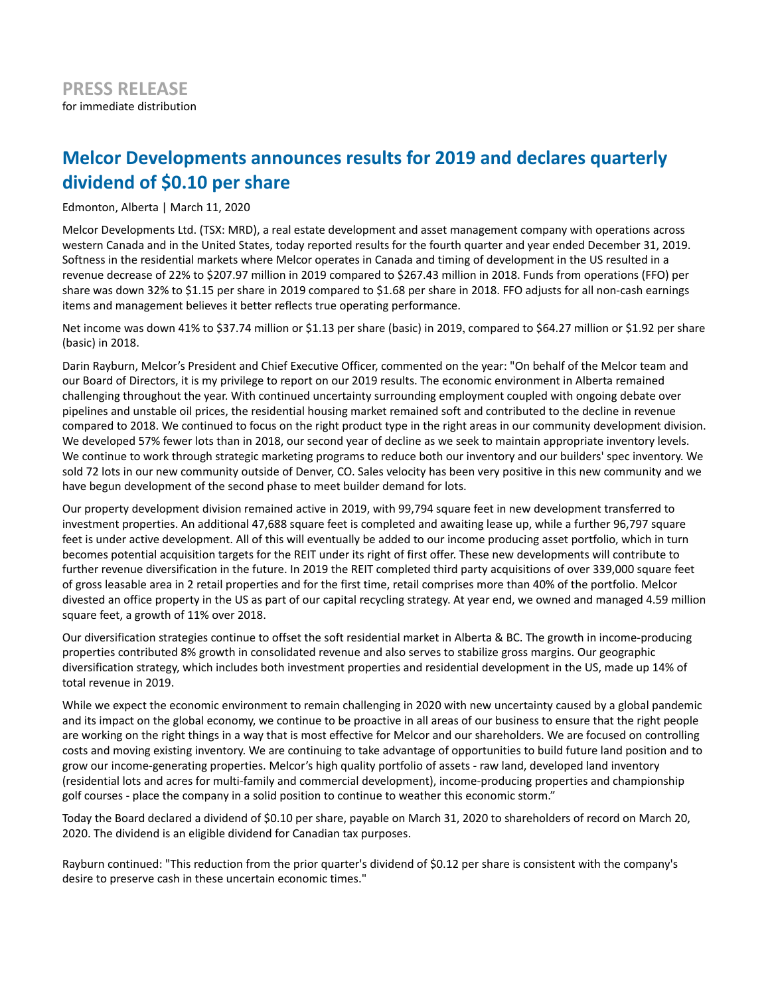# **Melcor Developments announces results for 2019 and declares quarterly dividend of \$0.10 per share**

Edmonton, Alberta | March 11, 2020

Melcor Developments Ltd. (TSX: MRD), a real estate development and asset management company with operations across western Canada and in the United States, today reported results for the fourth quarter and year ended December 31, 2019. Softness in the residential markets where Melcor operates in Canada and timing of development in the US resulted in a revenue decrease of 22% to \$207.97 million in 2019 compared to \$267.43 million in 2018. Funds from operations (FFO) per share was down 32% to \$1.15 per share in 2019 compared to \$1.68 per share in 2018. FFO adjusts for all non-cash earnings items and management believes it better reflects true operating performance.

Net income was down 41% to \$37.74 million or \$1.13 per share (basic) in 2019, compared to \$64.27 million or \$1.92 per share (basic) in 2018.

Darin Rayburn, Melcor's President and Chief Executive Officer, commented on the year: "On behalf of the Melcor team and our Board of Directors, it is my privilege to report on our 2019 results. The economic environment in Alberta remained challenging throughout the year. With continued uncertainty surrounding employment coupled with ongoing debate over pipelines and unstable oil prices, the residential housing market remained soft and contributed to the decline in revenue compared to 2018. We continued to focus on the right product type in the right areas in our community development division. We developed 57% fewer lots than in 2018, our second year of decline as we seek to maintain appropriate inventory levels. We continue to work through strategic marketing programs to reduce both our inventory and our builders' spec inventory. We sold 72 lots in our new community outside of Denver, CO. Sales velocity has been very positive in this new community and we have begun development of the second phase to meet builder demand for lots.

Our property development division remained active in 2019, with 99,794 square feet in new development transferred to investment properties. An additional 47,688 square feet is completed and awaiting lease up, while a further 96,797 square feet is under active development. All of this will eventually be added to our income producing asset portfolio, which in turn becomes potential acquisition targets for the REIT under its right of first offer. These new developments will contribute to further revenue diversification in the future. In 2019 the REIT completed third party acquisitions of over 339,000 square feet of gross leasable area in 2 retail properties and for the first time, retail comprises more than 40% of the portfolio. Melcor divested an office property in the US as part of our capital recycling strategy. At year end, we owned and managed 4.59 million square feet, a growth of 11% over 2018.

Our diversification strategies continue to offset the soft residential market in Alberta & BC. The growth in income-producing properties contributed 8% growth in consolidated revenue and also serves to stabilize gross margins. Our geographic diversification strategy, which includes both investment properties and residential development in the US, made up 14% of total revenue in 2019.

While we expect the economic environment to remain challenging in 2020 with new uncertainty caused by a global pandemic and its impact on the global economy, we continue to be proactive in all areas of our business to ensure that the right people are working on the right things in a way that is most effective for Melcor and our shareholders. We are focused on controlling costs and moving existing inventory. We are continuing to take advantage of opportunities to build future land position and to grow our income-generating properties. Melcor's high quality portfolio of assets - raw land, developed land inventory (residential lots and acres for multi-family and commercial development), income-producing properties and championship golf courses - place the company in a solid position to continue to weather this economic storm."

Today the Board declared a dividend of \$0.10 per share, payable on March 31, 2020 to shareholders of record on March 20, 2020. The dividend is an eligible dividend for Canadian tax purposes.

Rayburn continued: "This reduction from the prior quarter's dividend of \$0.12 per share is consistent with the company's desire to preserve cash in these uncertain economic times."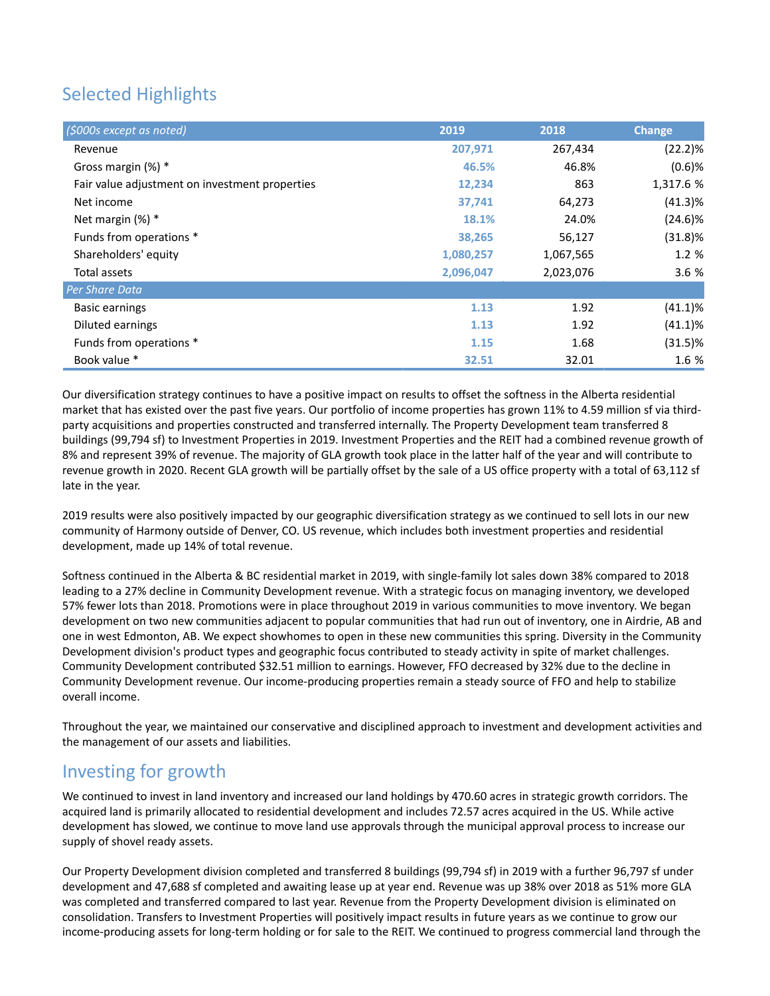# Selected Highlights

| (\$000s except as noted)                       | 2019      | 2018      | <b>Change</b> |
|------------------------------------------------|-----------|-----------|---------------|
| Revenue                                        | 207,971   | 267,434   | $(22.2)\%$    |
| Gross margin $(\%)$ *                          | 46.5%     | 46.8%     | $(0.6)$ %     |
| Fair value adjustment on investment properties | 12,234    | 863       | 1,317.6 %     |
| Net income                                     | 37,741    | 64,273    | $(41.3)$ %    |
| Net margin $(\%)$ *                            | 18.1%     | 24.0%     | $(24.6)\%$    |
| Funds from operations *                        | 38,265    | 56,127    | $(31.8)\%$    |
| Shareholders' equity                           | 1,080,257 | 1,067,565 | 1.2 %         |
| Total assets                                   | 2,096,047 | 2,023,076 | 3.6%          |
| Per Share Data                                 |           |           |               |
| <b>Basic earnings</b>                          | 1.13      | 1.92      | $(41.1)\%$    |
| Diluted earnings                               | 1.13      | 1.92      | $(41.1)\%$    |
| Funds from operations *                        | 1.15      | 1.68      | $(31.5)$ %    |
| Book value *                                   | 32.51     | 32.01     | 1.6 %         |

Our diversification strategy continues to have a positive impact on results to offset the softness in the Alberta residential market that has existed over the past five years. Our portfolio of income properties has grown 11% to 4.59 million sf via thirdparty acquisitions and properties constructed and transferred internally. The Property Development team transferred 8 buildings (99,794 sf) to Investment Properties in 2019. Investment Properties and the REIT had a combined revenue growth of 8% and represent 39% of revenue. The majority of GLA growth took place in the latter half of the year and will contribute to revenue growth in 2020. Recent GLA growth will be partially offset by the sale of a US office property with a total of 63,112 sf late in the year.

2019 results were also positively impacted by our geographic diversification strategy as we continued to sell lots in our new community of Harmony outside of Denver, CO. US revenue, which includes both investment properties and residential development, made up 14% of total revenue.

Softness continued in the Alberta & BC residential market in 2019, with single-family lot sales down 38% compared to 2018 leading to a 27% decline in Community Development revenue. With a strategic focus on managing inventory, we developed 57% fewer lots than 2018. Promotions were in place throughout 2019 in various communities to move inventory. We began development on two new communities adjacent to popular communities that had run out of inventory, one in Airdrie, AB and one in west Edmonton, AB. We expect showhomes to open in these new communities this spring. Diversity in the Community Development division's product types and geographic focus contributed to steady activity in spite of market challenges. Community Development contributed \$32.51 million to earnings. However, FFO decreased by 32% due to the decline in Community Development revenue. Our income-producing properties remain a steady source of FFO and help to stabilize overall income.

Throughout the year, we maintained our conservative and disciplined approach to investment and development activities and the management of our assets and liabilities.

## Investing for growth

We continued to invest in land inventory and increased our land holdings by 470.60 acres in strategic growth corridors. The acquired land is primarily allocated to residential development and includes 72.57 acres acquired in the US. While active development has slowed, we continue to move land use approvals through the municipal approval process to increase our supply of shovel ready assets.

Our Property Development division completed and transferred 8 buildings (99,794 sf) in 2019 with a further 96,797 sf under development and 47,688 sf completed and awaiting lease up at year end. Revenue was up 38% over 2018 as 51% more GLA was completed and transferred compared to last year. Revenue from the Property Development division is eliminated on consolidation. Transfers to Investment Properties will positively impact results in future years as we continue to grow our income-producing assets for long-term holding or for sale to the REIT. We continued to progress commercial land through the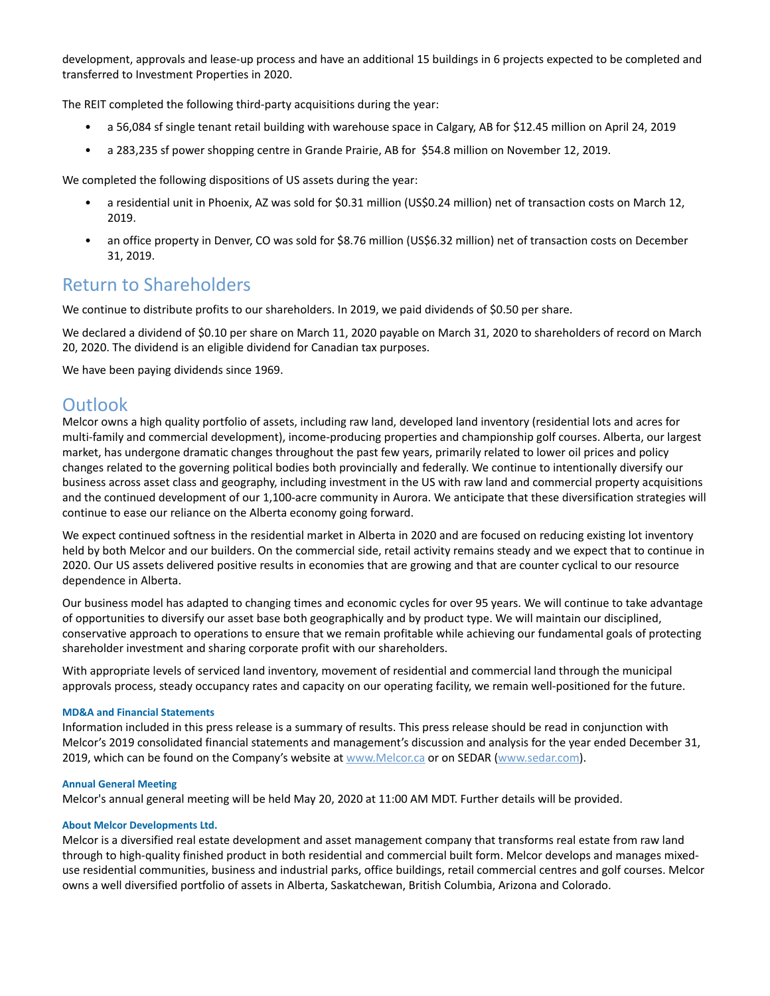development, approvals and lease-up process and have an additional 15 buildings in 6 projects expected to be completed and transferred to Investment Properties in 2020.

The REIT completed the following third-party acquisitions during the year:

- a 56,084 sf single tenant retail building with warehouse space in Calgary, AB for \$12.45 million on April 24, 2019
- a 283,235 sf power shopping centre in Grande Prairie, AB for \$54.8 million on November 12, 2019.

We completed the following dispositions of US assets during the year:

- a residential unit in Phoenix, AZ was sold for \$0.31 million (US\$0.24 million) net of transaction costs on March 12, 2019.
- an office property in Denver, CO was sold for \$8.76 million (US\$6.32 million) net of transaction costs on December 31, 2019.

### Return to Shareholders

We continue to distribute profits to our shareholders. In 2019, we paid dividends of \$0.50 per share.

We declared a dividend of \$0.10 per share on March 11, 2020 payable on March 31, 2020 to shareholders of record on March 20, 2020. The dividend is an eligible dividend for Canadian tax purposes.

We have been paying dividends since 1969.

### **Outlook**

Melcor owns a high quality portfolio of assets, including raw land, developed land inventory (residential lots and acres for multi-family and commercial development), income-producing properties and championship golf courses. Alberta, our largest market, has undergone dramatic changes throughout the past few years, primarily related to lower oil prices and policy changes related to the governing political bodies both provincially and federally. We continue to intentionally diversify our business across asset class and geography, including investment in the US with raw land and commercial property acquisitions and the continued development of our 1,100-acre community in Aurora. We anticipate that these diversification strategies will continue to ease our reliance on the Alberta economy going forward.

We expect continued softness in the residential market in Alberta in 2020 and are focused on reducing existing lot inventory held by both Melcor and our builders. On the commercial side, retail activity remains steady and we expect that to continue in 2020. Our US assets delivered positive results in economies that are growing and that are counter cyclical to our resource dependence in Alberta.

Our business model has adapted to changing times and economic cycles for over 95 years. We will continue to take advantage of opportunities to diversify our asset base both geographically and by product type. We will maintain our disciplined, conservative approach to operations to ensure that we remain profitable while achieving our fundamental goals of protecting shareholder investment and sharing corporate profit with our shareholders.

With appropriate levels of serviced land inventory, movement of residential and commercial land through the municipal approvals process, steady occupancy rates and capacity on our operating facility, we remain well-positioned for the future.

#### **MD&A and Financial Statements**

Information included in this press release is a summary of results. This press release should be read in conjunction with Melcor's 2019 consolidated financial statements and management's discussion and analysis for the year ended December 31, 2019, which can be found on the Company's website at www.Melcor.ca or on SEDAR (www.sedar.com).

#### **Annual General Meeting**

Melcor's annual general meeting will be held May 20, 2020 at 11:00 AM MDT. Further details will be provided.

#### **About Melcor Developments Ltd.**

Melcor is a diversified real estate development and asset management company that transforms real estate from raw land through to high-quality finished product in both residential and commercial built form. Melcor develops and manages mixeduse residential communities, business and industrial parks, office buildings, retail commercial centres and golf courses. Melcor owns a well diversified portfolio of assets in Alberta, Saskatchewan, British Columbia, Arizona and Colorado.